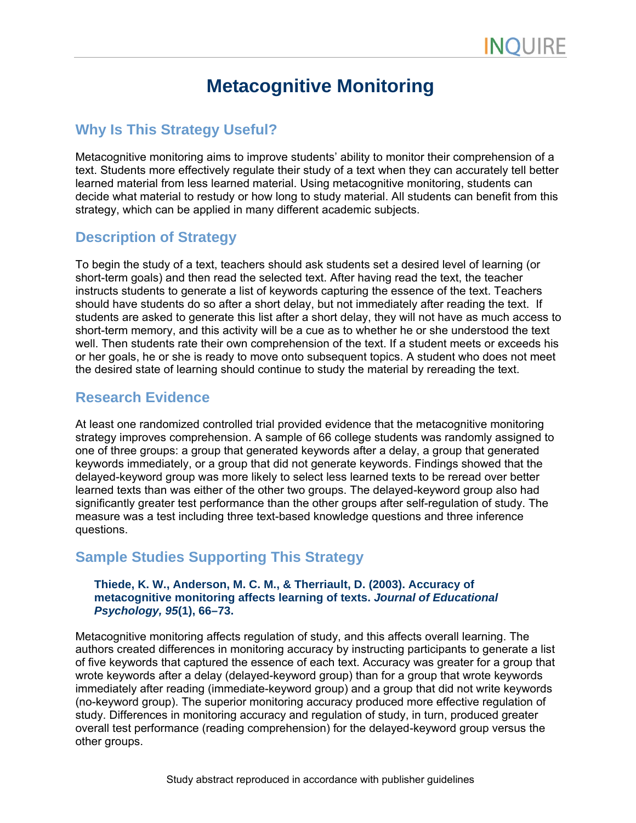# **Metacognitive Monitoring**

## **Why Is This Strategy Useful?**

Metacognitive monitoring aims to improve students' ability to monitor their comprehension of a text. Students more effectively regulate their study of a text when they can accurately tell better learned material from less learned material. Using metacognitive monitoring, students can decide what material to restudy or how long to study material. All students can benefit from this strategy, which can be applied in many different academic subjects.

### **Description of Strategy**

To begin the study of a text, teachers should ask students set a desired level of learning (or short-term goals) and then read the selected text. After having read the text, the teacher instructs students to generate a list of keywords capturing the essence of the text. Teachers should have students do so after a short delay, but not immediately after reading the text. If students are asked to generate this list after a short delay, they will not have as much access to short-term memory, and this activity will be a cue as to whether he or she understood the text well. Then students rate their own comprehension of the text. If a student meets or exceeds his or her goals, he or she is ready to move onto subsequent topics. A student who does not meet the desired state of learning should continue to study the material by rereading the text.

#### **Research Evidence**

At least one randomized controlled trial provided evidence that the metacognitive monitoring strategy improves comprehension. A sample of 66 college students was randomly assigned to one of three groups: a group that generated keywords after a delay, a group that generated keywords immediately, or a group that did not generate keywords. Findings showed that the delayed-keyword group was more likely to select less learned texts to be reread over better learned texts than was either of the other two groups. The delayed-keyword group also had significantly greater test performance than the other groups after self-regulation of study. The measure was a test including three text-based knowledge questions and three inference questions.

# **Sample Studies Supporting This Strategy**

#### **Thiede, K. W., Anderson, M. C. M., & Therriault, D. (2003). Accuracy of metacognitive monitoring affects learning of texts.** *Journal of Educational Psychology, 95***(1), 66–73.**

Metacognitive monitoring affects regulation of study, and this affects overall learning. The authors created differences in monitoring accuracy by instructing participants to generate a list of five keywords that captured the essence of each text. Accuracy was greater for a group that wrote keywords after a delay (delayed-keyword group) than for a group that wrote keywords immediately after reading (immediate-keyword group) and a group that did not write keywords (no-keyword group). The superior monitoring accuracy produced more effective regulation of study. Differences in monitoring accuracy and regulation of study, in turn, produced greater overall test performance (reading comprehension) for the delayed-keyword group versus the other groups.